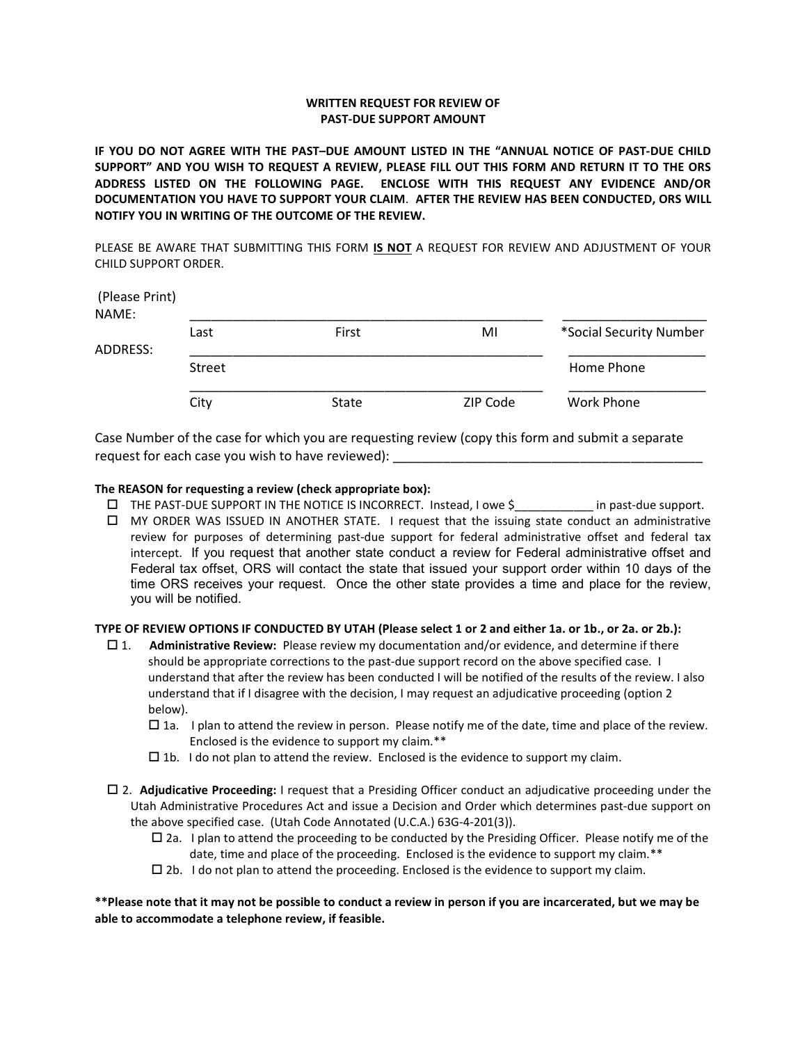## WRITTEN REQUEST FOR REVIEW OF PAST-DUE SUPPORT AMOUNT

IF YOU DO NOT AGREE WITH THE PAST–DUE AMOUNT LISTED IN THE "ANNUAL NOTICE OF PAST-DUE CHILD SUPPORT" AND YOU WISH TO REQUEST A REVIEW, PLEASE FILL OUT THIS FORM AND RETURN IT TO THE ORS ADDRESS LISTED ON THE FOLLOWING PAGE. ENCLOSE WITH THIS REQUEST ANY EVIDENCE AND/OR DOCUMENTATION YOU HAVE TO SUPPORT YOUR CLAIM. AFTER THE REVIEW HAS BEEN CONDUCTED, ORS WILL NOTIFY YOU IN WRITING OF THE OUTCOME OF THE REVIEW.

PLEASE BE AWARE THAT SUBMITTING THIS FORM IS NOT A REQUEST FOR REVIEW AND ADJUSTMENT OF YOUR CHILD SUPPORT ORDER.

| (Please Print)<br>NAME: |        |       |          |                         |
|-------------------------|--------|-------|----------|-------------------------|
|                         | Last   | First | MI       | *Social Security Number |
| ADDRESS:                |        |       |          |                         |
|                         | Street |       |          | Home Phone              |
|                         | City   | State | ZIP Code | Work Phone              |

Case Number of the case for which you are requesting review (copy this form and submit a separate request for each case you wish to have reviewed):

## The REASON for requesting a review (check appropriate box):

- □ THE PAST-DUE SUPPORT IN THE NOTICE IS INCORRECT. Instead, I owe \$ in past-due support.
- MY ORDER WAS ISSUED IN ANOTHER STATE. I request that the issuing state conduct an administrative review for purposes of determining past-due support for federal administrative offset and federal tax intercept. If you request that another state conduct a review for Federal administrative offset and Federal tax offset, ORS will contact the state that issued your support order within 10 days of the time ORS receives your request. Once the other state provides a time and place for the review, you will be notified.

## TYPE OF REVIEW OPTIONS IF CONDUCTED BY UTAH (Please select 1 or 2 and either 1a. or 1b., or 2a. or 2b.):

- $\Box$  1. Administrative Review: Please review my documentation and/or evidence, and determine if there should be appropriate corrections to the past-due support record on the above specified case. I understand that after the review has been conducted I will be notified of the results of the review. I also understand that if I disagree with the decision, I may request an adjudicative proceeding (option 2 below).
	- $\Box$  1a. I plan to attend the review in person. Please notify me of the date, time and place of the review. Enclosed is the evidence to support my claim.\*\*
	- $\square$  1b. I do not plan to attend the review. Enclosed is the evidence to support my claim.
- □ 2. Adjudicative Proceeding: I request that a Presiding Officer conduct an adjudicative proceeding under the Utah Administrative Procedures Act and issue a Decision and Order which determines past-due support on the above specified case. (Utah Code Annotated (U.C.A.) 63G-4-201(3)).
	- $\Box$  2a. I plan to attend the proceeding to be conducted by the Presiding Officer. Please notify me of the date, time and place of the proceeding. Enclosed is the evidence to support my claim.\*\*
	- $\square$  2b. I do not plan to attend the proceeding. Enclosed is the evidence to support my claim.

\*\*Please note that it may not be possible to conduct a review in person if you are incarcerated, but we may be able to accommodate a telephone review, if feasible.